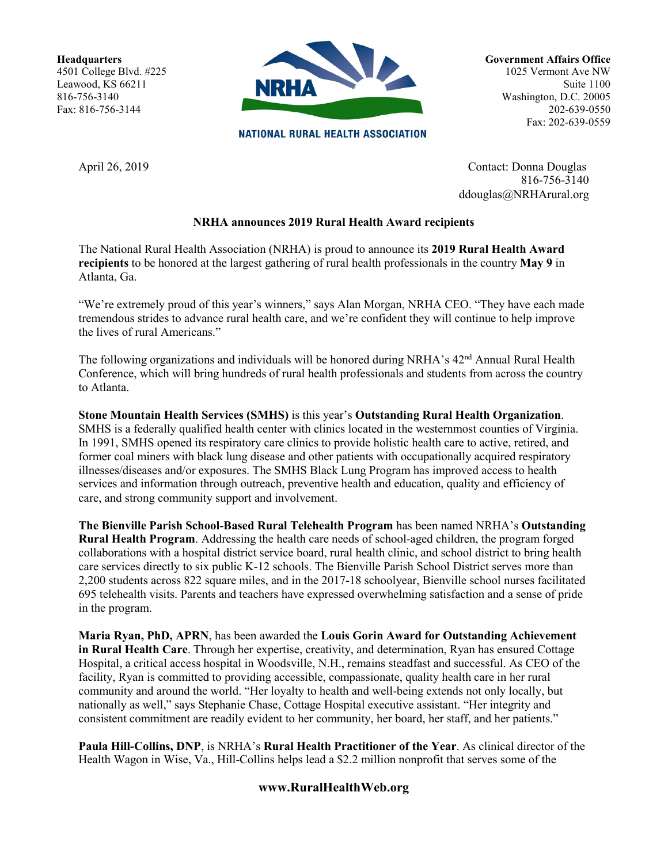**Headquarters** 4501 College Blvd. #225 Leawood, KS 66211 816-756-3140 Fax: 816-756-3144



**NATIONAL RURAL HEALTH ASSOCIATION** 

**Government Affairs Office** 1025 Vermont Ave NW Suite 1100 Washington, D.C. 20005 202-639-0550 Fax: 202-639-0559

April 26, 2019 Contact: Donna Douglas 816-756-3140 ddouglas@NRHArural.org

## **NRHA announces 2019 Rural Health Award recipients**

The National Rural Health Association (NRHA) is proud to announce its **2019 Rural Health Award recipients** to be honored at the largest gathering of rural health professionals in the country **May 9** in Atlanta, Ga.

"We're extremely proud of this year's winners," says Alan Morgan, NRHA CEO. "They have each made tremendous strides to advance rural health care, and we're confident they will continue to help improve the lives of rural Americans."

The following organizations and individuals will be honored during NRHA's 42<sup>nd</sup> Annual Rural Health Conference, which will bring hundreds of rural health professionals and students from across the country to Atlanta.

**Stone Mountain Health Services (SMHS)** is this year's **Outstanding Rural Health Organization**. SMHS is a federally qualified health center with clinics located in the westernmost counties of Virginia. In 1991, SMHS opened its respiratory care clinics to provide holistic health care to active, retired, and former coal miners with black lung disease and other patients with occupationally acquired respiratory illnesses/diseases and/or exposures. The SMHS Black Lung Program has improved access to health services and information through outreach, preventive health and education, quality and efficiency of care, and strong community support and involvement.

**The Bienville Parish School-Based Rural Telehealth Program** has been named NRHA's **Outstanding Rural Health Program**. Addressing the health care needs of school-aged children, the program forged collaborations with a hospital district service board, rural health clinic, and school district to bring health care services directly to six public K-12 schools. The Bienville Parish School District serves more than 2,200 students across 822 square miles, and in the 2017-18 schoolyear, Bienville school nurses facilitated 695 telehealth visits. Parents and teachers have expressed overwhelming satisfaction and a sense of pride in the program.

**Maria Ryan, PhD, APRN**, has been awarded the **Louis Gorin Award for Outstanding Achievement in Rural Health Care**. Through her expertise, creativity, and determination, Ryan has ensured Cottage Hospital, a critical access hospital in Woodsville, N.H., remains steadfast and successful. As CEO of the facility, Ryan is committed to providing accessible, compassionate, quality health care in her rural community and around the world. "Her loyalty to health and well-being extends not only locally, but nationally as well," says Stephanie Chase, Cottage Hospital executive assistant. "Her integrity and consistent commitment are readily evident to her community, her board, her staff, and her patients."

**Paula Hill-Collins, DNP**, is NRHA's **Rural Health Practitioner of the Year**. As clinical director of the Health Wagon in Wise, Va., Hill-Collins helps lead a \$2.2 million nonprofit that serves some of the

## **www.RuralHealthWeb.org**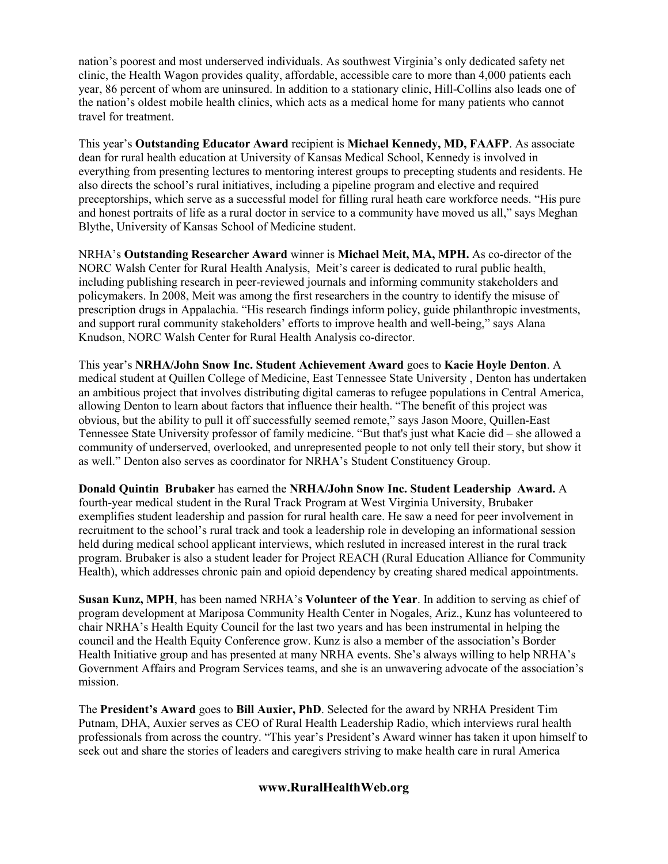nation's poorest and most underserved individuals. As southwest Virginia's only dedicated safety net clinic, the Health Wagon provides quality, affordable, accessible care to more than 4,000 patients each year, 86 percent of whom are uninsured. In addition to a stationary clinic, Hill-Collins also leads one of the nation's oldest mobile health clinics, which acts as a medical home for many patients who cannot travel for treatment.

This year's **Outstanding Educator Award** recipient is **Michael Kennedy, MD, FAAFP**. As associate dean for rural health education at University of Kansas Medical School, Kennedy is involved in everything from presenting lectures to mentoring interest groups to precepting students and residents. He also directs the school's rural initiatives, including a pipeline program and elective and required preceptorships, which serve as a successful model for filling rural heath care workforce needs. "His pure and honest portraits of life as a rural doctor in service to a community have moved us all," says Meghan Blythe, University of Kansas School of Medicine student.

NRHA's **Outstanding Researcher Award** winner is **Michael Meit, MA, MPH.** As co-director of the NORC Walsh Center for Rural Health Analysis, Meit's career is dedicated to rural public health, including publishing research in peer-reviewed journals and informing community stakeholders and policymakers. In 2008, Meit was among the first researchers in the country to identify the misuse of prescription drugs in Appalachia. "His research findings inform policy, guide philanthropic investments, and support rural community stakeholders' efforts to improve health and well-being," says Alana Knudson, NORC Walsh Center for Rural Health Analysis co-director.

This year's **NRHA/John Snow Inc. Student Achievement Award** goes to **Kacie Hoyle Denton**. A medical student at Quillen College of Medicine, East Tennessee State University , Denton has undertaken an ambitious project that involves distributing digital cameras to refugee populations in Central America, allowing Denton to learn about factors that influence their health. "The benefit of this project was obvious, but the ability to pull it off successfully seemed remote," says Jason Moore, Quillen-East Tennessee State University professor of family medicine. "But that's just what Kacie did – she allowed a community of underserved, overlooked, and unrepresented people to not only tell their story, but show it as well." Denton also serves as coordinator for NRHA's Student Constituency Group.

**Donald Quintin Brubaker** has earned the **NRHA/John Snow Inc. Student Leadership Award.** A fourth-year medical student in the Rural Track Program at West Virginia University, Brubaker exemplifies student leadership and passion for rural health care. He saw a need for peer involvement in recruitment to the school's rural track and took a leadership role in developing an informational session held during medical school applicant interviews, which resluted in increased interest in the rural track program. Brubaker is also a student leader for Project REACH (Rural Education Alliance for Community Health), which addresses chronic pain and opioid dependency by creating shared medical appointments.

**Susan Kunz, MPH**, has been named NRHA's **Volunteer of the Year**. In addition to serving as chief of program development at Mariposa Community Health Center in Nogales, Ariz., Kunz has volunteered to chair NRHA's Health Equity Council for the last two years and has been instrumental in helping the council and the Health Equity Conference grow. Kunz is also a member of the association's Border Health Initiative group and has presented at many NRHA events. She's always willing to help NRHA's Government Affairs and Program Services teams, and she is an unwavering advocate of the association's mission.

The **President's Award** goes to **Bill Auxier, PhD**. Selected for the award by NRHA President Tim Putnam, DHA, Auxier serves as CEO of Rural Health Leadership Radio, which interviews rural health professionals from across the country. "This year's President's Award winner has taken it upon himself to seek out and share the stories of leaders and caregivers striving to make health care in rural America

## **www.RuralHealthWeb.org**